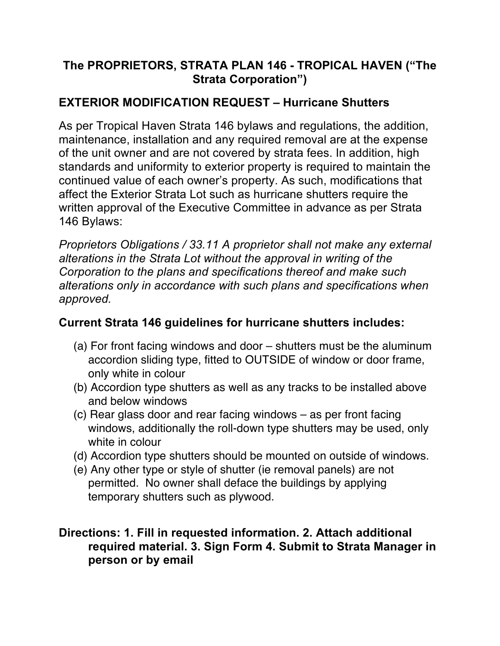#### **The PROPRIETORS, STRATA PLAN 146 - TROPICAL HAVEN ("The Strata Corporation")**

## **EXTERIOR MODIFICATION REQUEST – Hurricane Shutters**

As per Tropical Haven Strata 146 bylaws and regulations, the addition, maintenance, installation and any required removal are at the expense of the unit owner and are not covered by strata fees. In addition, high standards and uniformity to exterior property is required to maintain the continued value of each owner's property. As such, modifications that affect the Exterior Strata Lot such as hurricane shutters require the written approval of the Executive Committee in advance as per Strata 146 Bylaws:

*Proprietors Obligations / 33.11 A proprietor shall not make any external alterations in the Strata Lot without the approval in writing of the Corporation to the plans and specifications thereof and make such alterations only in accordance with such plans and specifications when approved.* 

## **Current Strata 146 guidelines for hurricane shutters includes:**

- (a) For front facing windows and door shutters must be the aluminum accordion sliding type, fitted to OUTSIDE of window or door frame, only white in colour
- (b) Accordion type shutters as well as any tracks to be installed above and below windows
- (c) Rear glass door and rear facing windows as per front facing windows, additionally the roll-down type shutters may be used, only white in colour
- (d) Accordion type shutters should be mounted on outside of windows.
- (e) Any other type or style of shutter (ie removal panels) are not permitted. No owner shall deface the buildings by applying temporary shutters such as plywood.

#### **Directions: 1. Fill in requested information. 2. Attach additional required material. 3. Sign Form 4. Submit to Strata Manager in person or by email**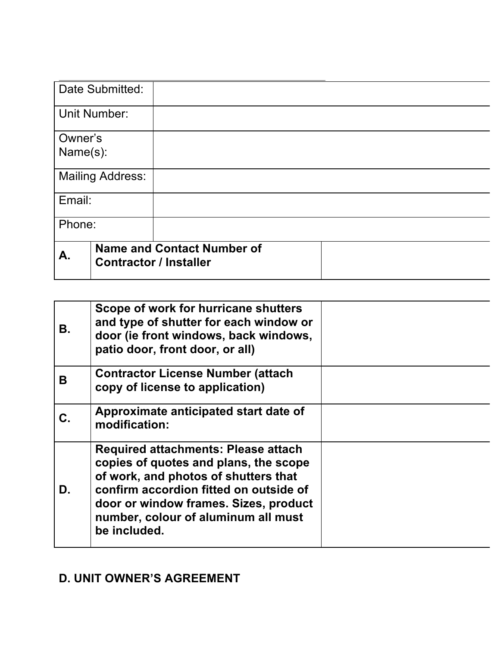| Date Submitted:         |                               |                                   |  |
|-------------------------|-------------------------------|-----------------------------------|--|
| <b>Unit Number:</b>     |                               |                                   |  |
| Owner's                 |                               |                                   |  |
| Name(s):                |                               |                                   |  |
| <b>Mailing Address:</b> |                               |                                   |  |
| Email:                  |                               |                                   |  |
| Phone:                  |                               |                                   |  |
| A.                      | <b>Contractor / Installer</b> | <b>Name and Contact Number of</b> |  |

| В. | Scope of work for hurricane shutters<br>and type of shutter for each window or<br>door (ie front windows, back windows,<br>patio door, front door, or all)                                                                                                            |  |
|----|-----------------------------------------------------------------------------------------------------------------------------------------------------------------------------------------------------------------------------------------------------------------------|--|
| В  | <b>Contractor License Number (attach</b><br>copy of license to application)                                                                                                                                                                                           |  |
| С. | Approximate anticipated start date of<br>modification:                                                                                                                                                                                                                |  |
| D. | <b>Required attachments: Please attach</b><br>copies of quotes and plans, the scope<br>of work, and photos of shutters that<br>confirm accordion fitted on outside of<br>door or window frames. Sizes, product<br>number, colour of aluminum all must<br>be included. |  |

# **D. UNIT OWNER'S AGREEMENT**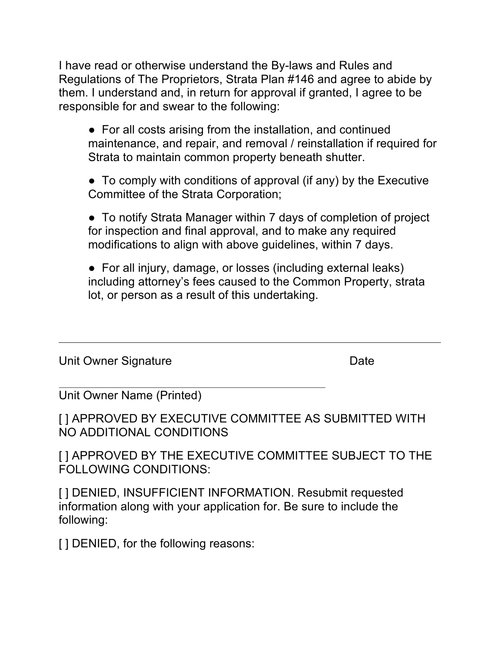I have read or otherwise understand the By-laws and Rules and Regulations of The Proprietors, Strata Plan #146 and agree to abide by them. I understand and, in return for approval if granted, I agree to be responsible for and swear to the following:

• For all costs arising from the installation, and continued maintenance, and repair, and removal / reinstallation if required for Strata to maintain common property beneath shutter.

● To comply with conditions of approval (if any) by the Executive Committee of the Strata Corporation;

• To notify Strata Manager within 7 days of completion of project for inspection and final approval, and to make any required modifications to align with above guidelines, within 7 days.

• For all injury, damage, or losses (including external leaks) including attorney's fees caused to the Common Property, strata lot, or person as a result of this undertaking.

Unit Owner Signature **Date** 

Unit Owner Name (Printed)

[ ] APPROVED BY EXECUTIVE COMMITTEE AS SUBMITTED WITH NO ADDITIONAL CONDITIONS

[ ] APPROVED BY THE EXECUTIVE COMMITTEE SUBJECT TO THE FOLLOWING CONDITIONS:

[] DENIED, INSUFFICIENT INFORMATION. Resubmit requested information along with your application for. Be sure to include the following:

[] DENIED, for the following reasons: